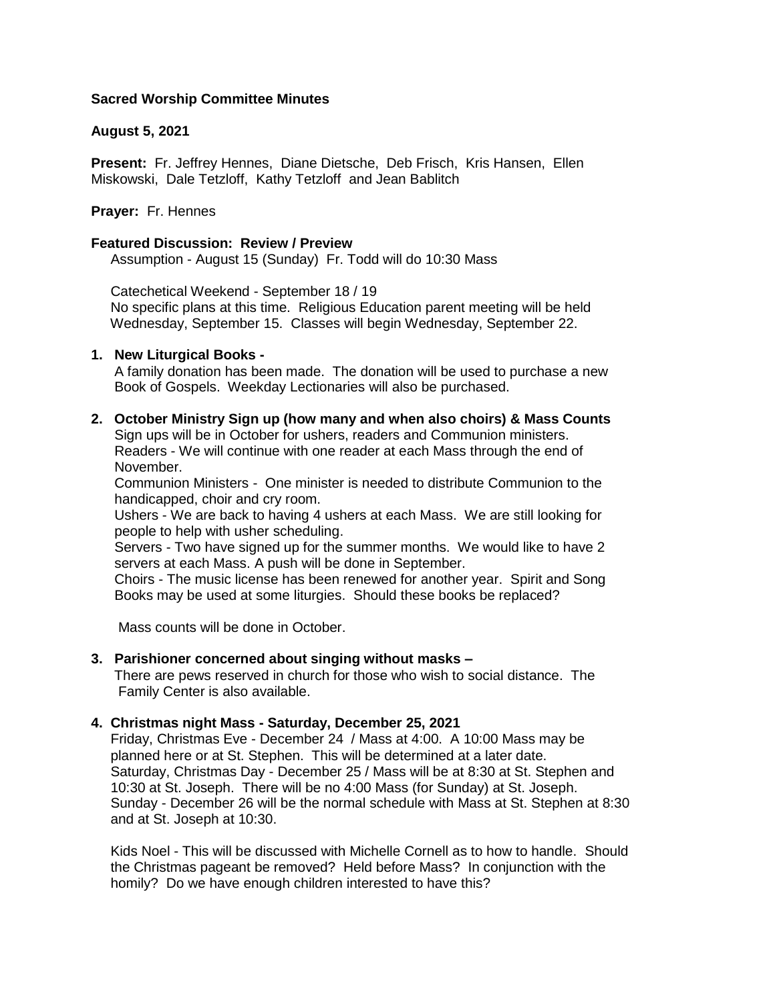# **Sacred Worship Committee Minutes**

## **August 5, 2021**

**Present:** Fr. Jeffrey Hennes, Diane Dietsche, Deb Frisch, Kris Hansen, Ellen Miskowski, Dale Tetzloff, Kathy Tetzloff and Jean Bablitch

# **Prayer:** Fr. Hennes

## **Featured Discussion: Review / Preview**

Assumption - August 15 (Sunday) Fr. Todd will do 10:30 Mass

Catechetical Weekend - September 18 / 19

 No specific plans at this time. Religious Education parent meeting will be held Wednesday, September 15. Classes will begin Wednesday, September 22.

## **1. New Liturgical Books -**

 A family donation has been made. The donation will be used to purchase a new Book of Gospels. Weekday Lectionaries will also be purchased.

**2. October Ministry Sign up (how many and when also choirs) & Mass Counts** 

 Sign ups will be in October for ushers, readers and Communion ministers. Readers - We will continue with one reader at each Mass through the end of November.

 Communion Ministers - One minister is needed to distribute Communion to the handicapped, choir and cry room.

 Ushers - We are back to having 4 ushers at each Mass. We are still looking for people to help with usher scheduling.

 Servers - Two have signed up for the summer months. We would like to have 2 servers at each Mass. A push will be done in September.

 Choirs - The music license has been renewed for another year. Spirit and Song Books may be used at some liturgies. Should these books be replaced?

Mass counts will be done in October.

## **3. Parishioner concerned about singing without masks –**

 There are pews reserved in church for those who wish to social distance. The Family Center is also available.

## **4. Christmas night Mass - Saturday, December 25, 2021**

 Friday, Christmas Eve - December 24 / Mass at 4:00. A 10:00 Mass may be planned here or at St. Stephen. This will be determined at a later date. Saturday, Christmas Day - December 25 / Mass will be at 8:30 at St. Stephen and 10:30 at St. Joseph. There will be no 4:00 Mass (for Sunday) at St. Joseph. Sunday - December 26 will be the normal schedule with Mass at St. Stephen at 8:30 and at St. Joseph at 10:30.

 Kids Noel - This will be discussed with Michelle Cornell as to how to handle. Should the Christmas pageant be removed? Held before Mass? In conjunction with the homily? Do we have enough children interested to have this?